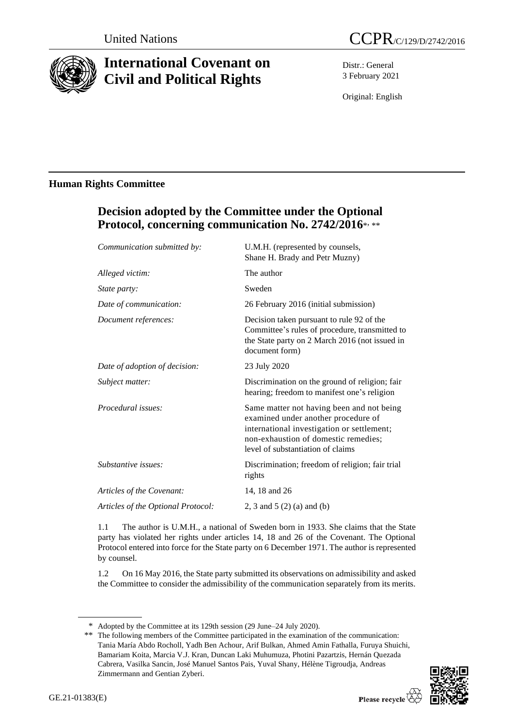

# **International Covenant on Civil and Political Rights**

Distr.: General 3 February 2021

Original: English

### **Human Rights Committee**

## **Decision adopted by the Committee under the Optional Protocol, concerning communication No. 2742/2016**\* , \*\*

| Communication submitted by:        | U.M.H. (represented by counsels,<br>Shane H. Brady and Petr Muzny)                                                                                                                                          |
|------------------------------------|-------------------------------------------------------------------------------------------------------------------------------------------------------------------------------------------------------------|
| Alleged victim:                    | The author                                                                                                                                                                                                  |
| State party:                       | Sweden                                                                                                                                                                                                      |
| Date of communication:             | 26 February 2016 (initial submission)                                                                                                                                                                       |
| Document references:               | Decision taken pursuant to rule 92 of the<br>Committee's rules of procedure, transmitted to<br>the State party on 2 March 2016 (not issued in<br>document form)                                             |
| Date of adoption of decision:      | 23 July 2020                                                                                                                                                                                                |
| Subject matter:                    | Discrimination on the ground of religion; fair<br>hearing; freedom to manifest one's religion                                                                                                               |
| Procedural issues:                 | Same matter not having been and not being<br>examined under another procedure of<br>international investigation or settlement;<br>non-exhaustion of domestic remedies;<br>level of substantiation of claims |
| Substantive issues:                | Discrimination; freedom of religion; fair trial<br>rights                                                                                                                                                   |
| Articles of the Covenant:          | 14, 18 and 26                                                                                                                                                                                               |
| Articles of the Optional Protocol: | 2, 3 and 5 $(2)$ (a) and (b)                                                                                                                                                                                |
|                                    |                                                                                                                                                                                                             |

1.1 The author is U.M.H., a national of Sweden born in 1933. She claims that the State party has violated her rights under articles 14, 18 and 26 of the Covenant. The Optional Protocol entered into force for the State party on 6 December 1971. The author is represented by counsel.

1.2 On 16 May 2016, the State party submitted its observations on admissibility and asked the Committee to consider the admissibility of the communication separately from its merits.

<sup>\*\*</sup> The following members of the Committee participated in the examination of the communication: Tania María Abdo Rocholl, Yadh Ben Achour, Arif Bulkan, Ahmed Amin Fathalla, Furuya Shuichi, Bamariam Koita, Marcia V.J. Kran, Duncan Laki Muhumuza, Photini Pazartzis, Hernán Quezada Cabrera, Vasilka Sancin, José Manuel Santos Pais, Yuval Shany, Hélène Tigroudja, Andreas Zimmermann and Gentian Zyberi.



<sup>\*</sup> Adopted by the Committee at its 129th session (29 June–24 July 2020).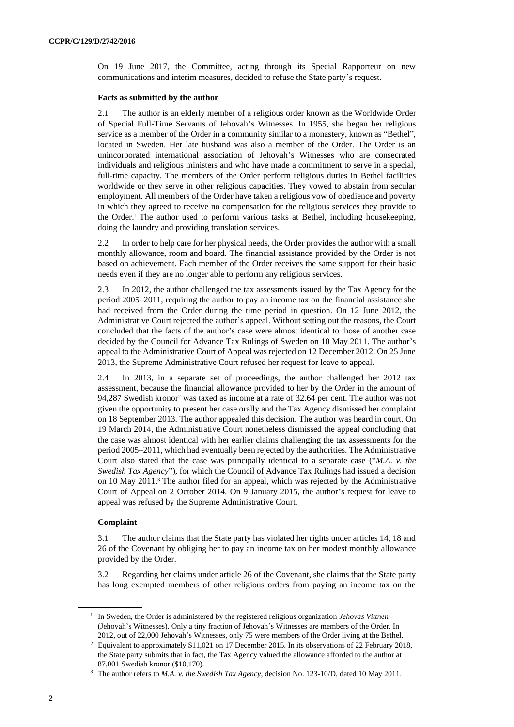On 19 June 2017, the Committee, acting through its Special Rapporteur on new communications and interim measures, decided to refuse the State party's request.

#### **Facts as submitted by the author**

2.1 The author is an elderly member of a religious order known as the Worldwide Order of Special Full-Time Servants of Jehovah's Witnesses. In 1955, she began her religious service as a member of the Order in a community similar to a monastery, known as "Bethel", located in Sweden. Her late husband was also a member of the Order. The Order is an unincorporated international association of Jehovah's Witnesses who are consecrated individuals and religious ministers and who have made a commitment to serve in a special, full-time capacity. The members of the Order perform religious duties in Bethel facilities worldwide or they serve in other religious capacities. They vowed to abstain from secular employment. All members of the Order have taken a religious vow of obedience and poverty in which they agreed to receive no compensation for the religious services they provide to the Order.<sup>1</sup> The author used to perform various tasks at Bethel, including housekeeping, doing the laundry and providing translation services.

2.2 In order to help care for her physical needs, the Order provides the author with a small monthly allowance, room and board. The financial assistance provided by the Order is not based on achievement. Each member of the Order receives the same support for their basic needs even if they are no longer able to perform any religious services.

2.3 In 2012, the author challenged the tax assessments issued by the Tax Agency for the period 2005–2011, requiring the author to pay an income tax on the financial assistance she had received from the Order during the time period in question. On 12 June 2012, the Administrative Court rejected the author's appeal. Without setting out the reasons, the Court concluded that the facts of the author's case were almost identical to those of another case decided by the Council for Advance Tax Rulings of Sweden on 10 May 2011. The author's appeal to the Administrative Court of Appeal was rejected on 12 December 2012. On 25 June 2013, the Supreme Administrative Court refused her request for leave to appeal.

2.4 In 2013, in a separate set of proceedings, the author challenged her 2012 tax assessment, because the financial allowance provided to her by the Order in the amount of 94,287 Swedish kronor<sup>2</sup> was taxed as income at a rate of 32.64 per cent. The author was not given the opportunity to present her case orally and the Tax Agency dismissed her complaint on 18 September 2013. The author appealed this decision. The author was heard in court. On 19 March 2014, the Administrative Court nonetheless dismissed the appeal concluding that the case was almost identical with her earlier claims challenging the tax assessments for the period 2005–2011, which had eventually been rejected by the authorities. The Administrative Court also stated that the case was principally identical to a separate case ("*M.A. v. the Swedish Tax Agency*"), for which the Council of Advance Tax Rulings had issued a decision on 10 May 2011. <sup>3</sup> The author filed for an appeal, which was rejected by the Administrative Court of Appeal on 2 October 2014. On 9 January 2015, the author's request for leave to appeal was refused by the Supreme Administrative Court.

#### **Complaint**

3.1 The author claims that the State party has violated her rights under articles 14, 18 and 26 of the Covenant by obliging her to pay an income tax on her modest monthly allowance provided by the Order.

3.2 Regarding her claims under article 26 of the Covenant, she claims that the State party has long exempted members of other religious orders from paying an income tax on the

<sup>1</sup> In Sweden, the Order is administered by the registered religious organization *Jehovas Vittnen* (Jehovah's Witnesses). Only a tiny fraction of Jehovah's Witnesses are members of the Order. In 2012, out of 22,000 Jehovah's Witnesses, only 75 were members of the Order living at the Bethel.

<sup>&</sup>lt;sup>2</sup> Equivalent to approximately \$11,021 on 17 December 2015. In its observations of 22 February 2018, the State party submits that in fact, the Tax Agency valued the allowance afforded to the author at 87,001 Swedish kronor (\$10,170).

<sup>3</sup> The author refers to *M.A. v. the Swedish Tax Agency*, decision No. 123-10/D, dated 10 May 2011.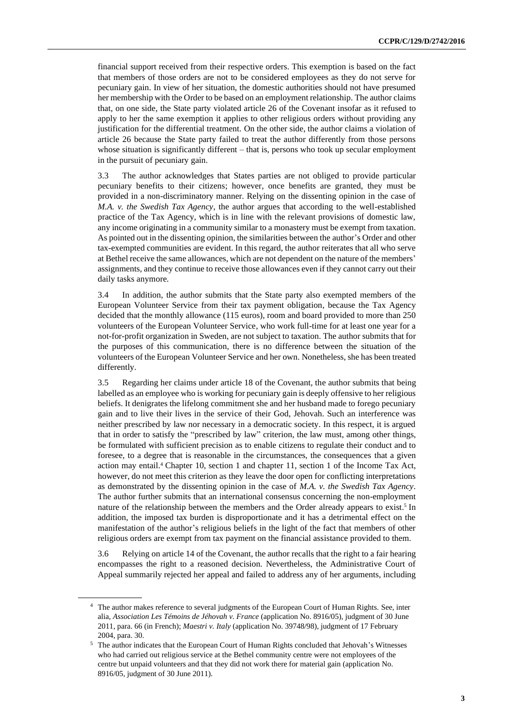financial support received from their respective orders. This exemption is based on the fact that members of those orders are not to be considered employees as they do not serve for pecuniary gain. In view of her situation, the domestic authorities should not have presumed her membership with the Order to be based on an employment relationship. The author claims that, on one side, the State party violated article 26 of the Covenant insofar as it refused to apply to her the same exemption it applies to other religious orders without providing any justification for the differential treatment. On the other side, the author claims a violation of article 26 because the State party failed to treat the author differently from those persons whose situation is significantly different – that is, persons who took up secular employment in the pursuit of pecuniary gain.

3.3 The author acknowledges that States parties are not obliged to provide particular pecuniary benefits to their citizens; however, once benefits are granted, they must be provided in a non-discriminatory manner. Relying on the dissenting opinion in the case of *M.A. v. the Swedish Tax Agency*, the author argues that according to the well-established practice of the Tax Agency, which is in line with the relevant provisions of domestic law, any income originating in a community similar to a monastery must be exempt from taxation. As pointed out in the dissenting opinion, the similarities between the author's Order and other tax-exempted communities are evident. In this regard, the author reiterates that all who serve at Bethel receive the same allowances, which are not dependent on the nature of the members' assignments, and they continue to receive those allowances even if they cannot carry out their daily tasks anymore.

3.4 In addition, the author submits that the State party also exempted members of the European Volunteer Service from their tax payment obligation, because the Tax Agency decided that the monthly allowance (115 euros), room and board provided to more than 250 volunteers of the European Volunteer Service, who work full-time for at least one year for a not-for-profit organization in Sweden, are not subject to taxation. The author submits that for the purposes of this communication, there is no difference between the situation of the volunteers of the European Volunteer Service and her own. Nonetheless, she has been treated differently.

3.5 Regarding her claims under article 18 of the Covenant, the author submits that being labelled as an employee who is working for pecuniary gain is deeply offensive to her religious beliefs. It denigrates the lifelong commitment she and her husband made to forego pecuniary gain and to live their lives in the service of their God, Jehovah. Such an interference was neither prescribed by law nor necessary in a democratic society. In this respect, it is argued that in order to satisfy the "prescribed by law" criterion, the law must, among other things, be formulated with sufficient precision as to enable citizens to regulate their conduct and to foresee, to a degree that is reasonable in the circumstances, the consequences that a given action may entail.<sup>4</sup> Chapter 10, section 1 and chapter 11, section 1 of the Income Tax Act, however, do not meet this criterion as they leave the door open for conflicting interpretations as demonstrated by the dissenting opinion in the case of *M.A. v. the Swedish Tax Agency*. The author further submits that an international consensus concerning the non-employment nature of the relationship between the members and the Order already appears to exist.<sup>5</sup> In addition, the imposed tax burden is disproportionate and it has a detrimental effect on the manifestation of the author's religious beliefs in the light of the fact that members of other religious orders are exempt from tax payment on the financial assistance provided to them.

3.6 Relying on article 14 of the Covenant, the author recalls that the right to a fair hearing encompasses the right to a reasoned decision. Nevertheless, the Administrative Court of Appeal summarily rejected her appeal and failed to address any of her arguments, including

<sup>&</sup>lt;sup>4</sup> The author makes reference to several judgments of the European Court of Human Rights. See, inter alia, *Association Les Témoins de Jéhovah v. France* (application No. 8916/05), judgment of 30 June 2011, para. 66 (in French); *Maestri v. Italy* (application No. 39748/98), judgment of 17 February 2004, para. 30.

<sup>5</sup> The author indicates that the European Court of Human Rights concluded that Jehovah's Witnesses who had carried out religious service at the Bethel community centre were not employees of the centre but unpaid volunteers and that they did not work there for material gain (application No. 8916/05, judgment of 30 June 2011).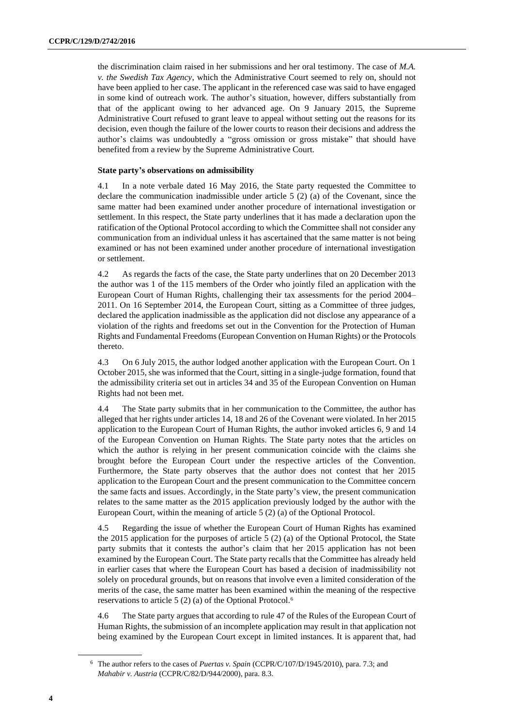the discrimination claim raised in her submissions and her oral testimony. The case of *M.A. v. the Swedish Tax Agency*, which the Administrative Court seemed to rely on, should not have been applied to her case. The applicant in the referenced case was said to have engaged in some kind of outreach work. The author's situation, however, differs substantially from that of the applicant owing to her advanced age. On 9 January 2015, the Supreme Administrative Court refused to grant leave to appeal without setting out the reasons for its decision, even though the failure of the lower courts to reason their decisions and address the author's claims was undoubtedly a "gross omission or gross mistake" that should have benefited from a review by the Supreme Administrative Court.

#### **State party's observations on admissibility**

4.1 In a note verbale dated 16 May 2016, the State party requested the Committee to declare the communication inadmissible under article 5 (2) (a) of the Covenant, since the same matter had been examined under another procedure of international investigation or settlement. In this respect, the State party underlines that it has made a declaration upon the ratification of the Optional Protocol according to which the Committee shall not consider any communication from an individual unless it has ascertained that the same matter is not being examined or has not been examined under another procedure of international investigation or settlement.

4.2 As regards the facts of the case, the State party underlines that on 20 December 2013 the author was 1 of the 115 members of the Order who jointly filed an application with the European Court of Human Rights, challenging their tax assessments for the period 2004– 2011. On 16 September 2014, the European Court, sitting as a Committee of three judges, declared the application inadmissible as the application did not disclose any appearance of a violation of the rights and freedoms set out in the Convention for the Protection of Human Rights and Fundamental Freedoms (European Convention on Human Rights) or the Protocols thereto.

4.3 On 6 July 2015, the author lodged another application with the European Court. On 1 October 2015, she was informed that the Court, sitting in a single-judge formation, found that the admissibility criteria set out in articles 34 and 35 of the European Convention on Human Rights had not been met.

4.4 The State party submits that in her communication to the Committee, the author has alleged that her rights under articles 14, 18 and 26 of the Covenant were violated. In her 2015 application to the European Court of Human Rights, the author invoked articles 6, 9 and 14 of the European Convention on Human Rights. The State party notes that the articles on which the author is relying in her present communication coincide with the claims she brought before the European Court under the respective articles of the Convention. Furthermore, the State party observes that the author does not contest that her 2015 application to the European Court and the present communication to the Committee concern the same facts and issues. Accordingly, in the State party's view, the present communication relates to the same matter as the 2015 application previously lodged by the author with the European Court, within the meaning of article 5 (2) (a) of the Optional Protocol.

4.5 Regarding the issue of whether the European Court of Human Rights has examined the 2015 application for the purposes of article 5 (2) (a) of the Optional Protocol, the State party submits that it contests the author's claim that her 2015 application has not been examined by the European Court. The State party recalls that the Committee has already held in earlier cases that where the European Court has based a decision of inadmissibility not solely on procedural grounds, but on reasons that involve even a limited consideration of the merits of the case, the same matter has been examined within the meaning of the respective reservations to article 5 (2) (a) of the Optional Protocol.<sup>6</sup>

4.6 The State party argues that according to rule 47 of the Rules of the European Court of Human Rights, the submission of an incomplete application may result in that application not being examined by the European Court except in limited instances. It is apparent that, had

<sup>6</sup> The author refers to the cases of *Puertas v. Spain* (CCPR/C/107/D/1945/2010), para. 7.3; and *Mahabir v. Austria* (CCPR/C/82/D/944/2000), para. 8.3.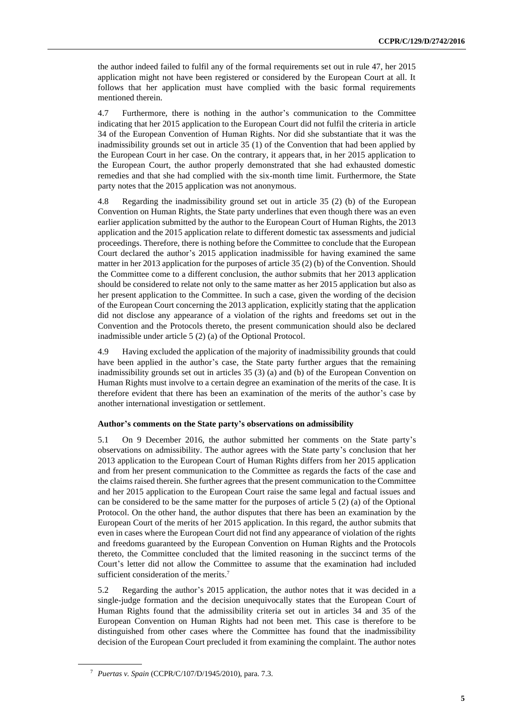the author indeed failed to fulfil any of the formal requirements set out in rule 47, her 2015 application might not have been registered or considered by the European Court at all. It follows that her application must have complied with the basic formal requirements mentioned therein.

4.7 Furthermore, there is nothing in the author's communication to the Committee indicating that her 2015 application to the European Court did not fulfil the criteria in article 34 of the European Convention of Human Rights. Nor did she substantiate that it was the inadmissibility grounds set out in article 35 (1) of the Convention that had been applied by the European Court in her case. On the contrary, it appears that, in her 2015 application to the European Court, the author properly demonstrated that she had exhausted domestic remedies and that she had complied with the six-month time limit. Furthermore, the State party notes that the 2015 application was not anonymous.

4.8 Regarding the inadmissibility ground set out in article 35 (2) (b) of the European Convention on Human Rights, the State party underlines that even though there was an even earlier application submitted by the author to the European Court of Human Rights, the 2013 application and the 2015 application relate to different domestic tax assessments and judicial proceedings. Therefore, there is nothing before the Committee to conclude that the European Court declared the author's 2015 application inadmissible for having examined the same matter in her 2013 application for the purposes of article 35 (2) (b) of the Convention. Should the Committee come to a different conclusion, the author submits that her 2013 application should be considered to relate not only to the same matter as her 2015 application but also as her present application to the Committee. In such a case, given the wording of the decision of the European Court concerning the 2013 application, explicitly stating that the application did not disclose any appearance of a violation of the rights and freedoms set out in the Convention and the Protocols thereto, the present communication should also be declared inadmissible under article 5 (2) (a) of the Optional Protocol.

4.9 Having excluded the application of the majority of inadmissibility grounds that could have been applied in the author's case, the State party further argues that the remaining inadmissibility grounds set out in articles 35 (3) (a) and (b) of the European Convention on Human Rights must involve to a certain degree an examination of the merits of the case. It is therefore evident that there has been an examination of the merits of the author's case by another international investigation or settlement.

#### **Author's comments on the State party's observations on admissibility**

5.1 On 9 December 2016, the author submitted her comments on the State party's observations on admissibility. The author agrees with the State party's conclusion that her 2013 application to the European Court of Human Rights differs from her 2015 application and from her present communication to the Committee as regards the facts of the case and the claims raised therein. She further agrees that the present communication to the Committee and her 2015 application to the European Court raise the same legal and factual issues and can be considered to be the same matter for the purposes of article 5 (2) (a) of the Optional Protocol. On the other hand, the author disputes that there has been an examination by the European Court of the merits of her 2015 application. In this regard, the author submits that even in cases where the European Court did not find any appearance of violation of the rights and freedoms guaranteed by the European Convention on Human Rights and the Protocols thereto, the Committee concluded that the limited reasoning in the succinct terms of the Court's letter did not allow the Committee to assume that the examination had included sufficient consideration of the merits.<sup>7</sup>

5.2 Regarding the author's 2015 application, the author notes that it was decided in a single-judge formation and the decision unequivocally states that the European Court of Human Rights found that the admissibility criteria set out in articles 34 and 35 of the European Convention on Human Rights had not been met. This case is therefore to be distinguished from other cases where the Committee has found that the inadmissibility decision of the European Court precluded it from examining the complaint. The author notes

<sup>7</sup> *Puertas v. Spain* (CCPR/C/107/D/1945/2010), para. 7.3.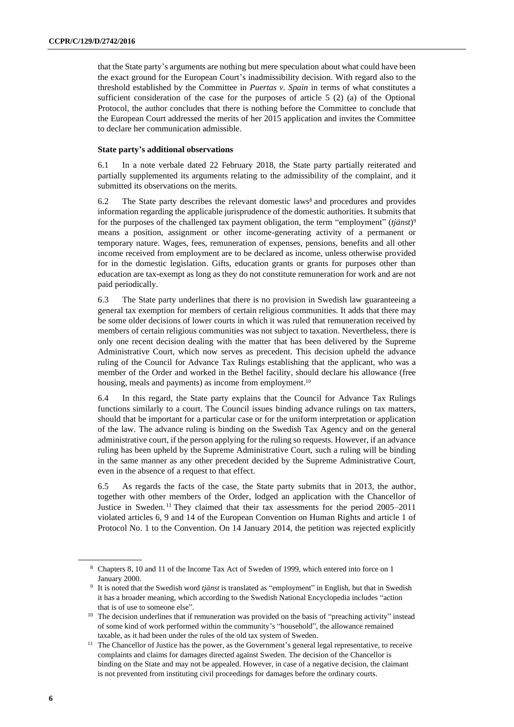that the State party's arguments are nothing but mere speculation about what could have been the exact ground for the European Court's inadmissibility decision. With regard also to the threshold established by the Committee in *Puertas v. Spain* in terms of what constitutes a sufficient consideration of the case for the purposes of article 5 (2) (a) of the Optional Protocol, the author concludes that there is nothing before the Committee to conclude that the European Court addressed the merits of her 2015 application and invites the Committee to declare her communication admissible.

#### **State party's additional observations**

6.1 In a note verbale dated 22 February 2018, the State party partially reiterated and partially supplemented its arguments relating to the admissibility of the complaint, and it submitted its observations on the merits.

6.2 The State party describes the relevant domestic laws<sup>8</sup> and procedures and provides information regarding the applicable jurisprudence of the domestic authorities. It submits that for the purposes of the challenged tax payment obligation, the term "employment" (*tjänst*) 9 means a position, assignment or other income-generating activity of a permanent or temporary nature. Wages, fees, remuneration of expenses, pensions, benefits and all other income received from employment are to be declared as income, unless otherwise provided for in the domestic legislation. Gifts, education grants or grants for purposes other than education are tax-exempt as long as they do not constitute remuneration for work and are not paid periodically.

6.3 The State party underlines that there is no provision in Swedish law guaranteeing a general tax exemption for members of certain religious communities. It adds that there may be some older decisions of lower courts in which it was ruled that remuneration received by members of certain religious communities was not subject to taxation. Nevertheless, there is only one recent decision dealing with the matter that has been delivered by the Supreme Administrative Court, which now serves as precedent. This decision upheld the advance ruling of the Council for Advance Tax Rulings establishing that the applicant, who was a member of the Order and worked in the Bethel facility, should declare his allowance (free housing, meals and payments) as income from employment.<sup>10</sup>

6.4 In this regard, the State party explains that the Council for Advance Tax Rulings functions similarly to a court. The Council issues binding advance rulings on tax matters, should that be important for a particular case or for the uniform interpretation or application of the law. The advance ruling is binding on the Swedish Tax Agency and on the general administrative court, if the person applying for the ruling so requests. However, if an advance ruling has been upheld by the Supreme Administrative Court, such a ruling will be binding in the same manner as any other precedent decided by the Supreme Administrative Court, even in the absence of a request to that effect.

6.5 As regards the facts of the case, the State party submits that in 2013, the author, together with other members of the Order, lodged an application with the Chancellor of Justice in Sweden. <sup>11</sup> They claimed that their tax assessments for the period 2005–2011 violated articles 6, 9 and 14 of the European Convention on Human Rights and article 1 of Protocol No. 1 to the Convention. On 14 January 2014, the petition was rejected explicitly

<sup>8</sup> Chapters 8, 10 and 11 of the Income Tax Act of Sweden of 1999, which entered into force on 1 January 2000.

<sup>9</sup> It is noted that the Swedish word *tjänst* is translated as "employment" in English, but that in Swedish it has a broader meaning, which according to the Swedish National Encyclopedia includes "action that is of use to someone else".

<sup>&</sup>lt;sup>10</sup> The decision underlines that if remuneration was provided on the basis of "preaching activity" instead of some kind of work performed within the community's "household", the allowance remained taxable, as it had been under the rules of the old tax system of Sweden.

<sup>&</sup>lt;sup>11</sup> The Chancellor of Justice has the power, as the Government's general legal representative, to receive complaints and claims for damages directed against Sweden. The decision of the Chancellor is binding on the State and may not be appealed. However, in case of a negative decision, the claimant is not prevented from instituting civil proceedings for damages before the ordinary courts.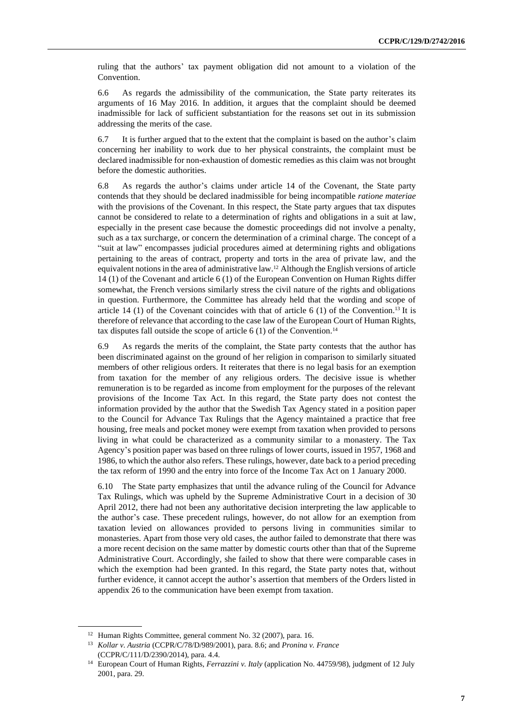ruling that the authors' tax payment obligation did not amount to a violation of the Convention.

6.6 As regards the admissibility of the communication, the State party reiterates its arguments of 16 May 2016. In addition, it argues that the complaint should be deemed inadmissible for lack of sufficient substantiation for the reasons set out in its submission addressing the merits of the case.

6.7 It is further argued that to the extent that the complaint is based on the author's claim concerning her inability to work due to her physical constraints, the complaint must be declared inadmissible for non-exhaustion of domestic remedies as this claim was not brought before the domestic authorities.

6.8 As regards the author's claims under article 14 of the Covenant, the State party contends that they should be declared inadmissible for being incompatible *ratione materiae* with the provisions of the Covenant. In this respect, the State party argues that tax disputes cannot be considered to relate to a determination of rights and obligations in a suit at law, especially in the present case because the domestic proceedings did not involve a penalty, such as a tax surcharge, or concern the determination of a criminal charge. The concept of a "suit at law" encompasses judicial procedures aimed at determining rights and obligations pertaining to the areas of contract, property and torts in the area of private law, and the equivalent notions in the area of administrative law. <sup>12</sup> Although the English versions of article 14 (1) of the Covenant and article 6 (1) of the European Convention on Human Rights differ somewhat, the French versions similarly stress the civil nature of the rights and obligations in question. Furthermore, the Committee has already held that the wording and scope of article 14 (1) of the Covenant coincides with that of article 6 (1) of the Convention.<sup>13</sup> It is therefore of relevance that according to the case law of the European Court of Human Rights, tax disputes fall outside the scope of article  $6(1)$  of the Convention.<sup>14</sup>

6.9 As regards the merits of the complaint, the State party contests that the author has been discriminated against on the ground of her religion in comparison to similarly situated members of other religious orders. It reiterates that there is no legal basis for an exemption from taxation for the member of any religious orders. The decisive issue is whether remuneration is to be regarded as income from employment for the purposes of the relevant provisions of the Income Tax Act. In this regard, the State party does not contest the information provided by the author that the Swedish Tax Agency stated in a position paper to the Council for Advance Tax Rulings that the Agency maintained a practice that free housing, free meals and pocket money were exempt from taxation when provided to persons living in what could be characterized as a community similar to a monastery. The Tax Agency's position paper was based on three rulings of lower courts, issued in 1957, 1968 and 1986, to which the author also refers. These rulings, however, date back to a period preceding the tax reform of 1990 and the entry into force of the Income Tax Act on 1 January 2000.

6.10 The State party emphasizes that until the advance ruling of the Council for Advance Tax Rulings, which was upheld by the Supreme Administrative Court in a decision of 30 April 2012, there had not been any authoritative decision interpreting the law applicable to the author's case. These precedent rulings, however, do not allow for an exemption from taxation levied on allowances provided to persons living in communities similar to monasteries. Apart from those very old cases, the author failed to demonstrate that there was a more recent decision on the same matter by domestic courts other than that of the Supreme Administrative Court. Accordingly, she failed to show that there were comparable cases in which the exemption had been granted. In this regard, the State party notes that, without further evidence, it cannot accept the author's assertion that members of the Orders listed in appendix 26 to the communication have been exempt from taxation.

<sup>&</sup>lt;sup>12</sup> Human Rights Committee, general comment No. 32 (2007), para. 16.

<sup>13</sup> *Kollar v. Austria* (CCPR/C/78/D/989/2001), para. 8.6; and *Pronina v. France* (CCPR/C/111/D/2390/2014), para. 4.4.

<sup>14</sup> European Court of Human Rights, *Ferrazzini v. Italy* (application No. 44759/98), judgment of 12 July 2001, para. 29.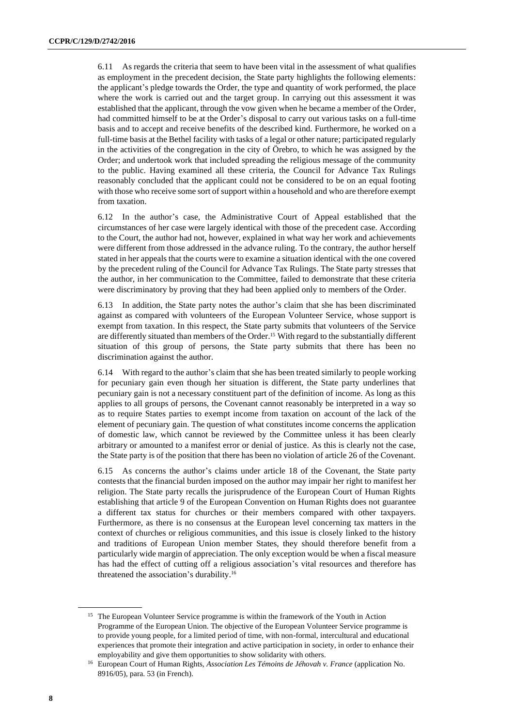6.11 As regards the criteria that seem to have been vital in the assessment of what qualifies as employment in the precedent decision, the State party highlights the following elements: the applicant's pledge towards the Order, the type and quantity of work performed, the place where the work is carried out and the target group. In carrying out this assessment it was established that the applicant, through the vow given when he became a member of the Order, had committed himself to be at the Order's disposal to carry out various tasks on a full-time basis and to accept and receive benefits of the described kind. Furthermore, he worked on a full-time basis at the Bethel facility with tasks of a legal or other nature; participated regularly in the activities of the congregation in the city of Örebro, to which he was assigned by the Order; and undertook work that included spreading the religious message of the community to the public. Having examined all these criteria, the Council for Advance Tax Rulings reasonably concluded that the applicant could not be considered to be on an equal footing with those who receive some sort of support within a household and who are therefore exempt from taxation.

6.12 In the author's case, the Administrative Court of Appeal established that the circumstances of her case were largely identical with those of the precedent case. According to the Court, the author had not, however, explained in what way her work and achievements were different from those addressed in the advance ruling. To the contrary, the author herself stated in her appeals that the courts were to examine a situation identical with the one covered by the precedent ruling of the Council for Advance Tax Rulings. The State party stresses that the author, in her communication to the Committee, failed to demonstrate that these criteria were discriminatory by proving that they had been applied only to members of the Order.

6.13 In addition, the State party notes the author's claim that she has been discriminated against as compared with volunteers of the European Volunteer Service, whose support is exempt from taxation. In this respect, the State party submits that volunteers of the Service are differently situated than members of the Order.<sup>15</sup> With regard to the substantially different situation of this group of persons, the State party submits that there has been no discrimination against the author.

6.14 With regard to the author's claim that she has been treated similarly to people working for pecuniary gain even though her situation is different, the State party underlines that pecuniary gain is not a necessary constituent part of the definition of income. As long as this applies to all groups of persons, the Covenant cannot reasonably be interpreted in a way so as to require States parties to exempt income from taxation on account of the lack of the element of pecuniary gain. The question of what constitutes income concerns the application of domestic law, which cannot be reviewed by the Committee unless it has been clearly arbitrary or amounted to a manifest error or denial of justice. As this is clearly not the case, the State party is of the position that there has been no violation of article 26 of the Covenant.

6.15 As concerns the author's claims under article 18 of the Covenant, the State party contests that the financial burden imposed on the author may impair her right to manifest her religion. The State party recalls the jurisprudence of the European Court of Human Rights establishing that article 9 of the European Convention on Human Rights does not guarantee a different tax status for churches or their members compared with other taxpayers. Furthermore, as there is no consensus at the European level concerning tax matters in the context of churches or religious communities, and this issue is closely linked to the history and traditions of European Union member States, they should therefore benefit from a particularly wide margin of appreciation. The only exception would be when a fiscal measure has had the effect of cutting off a religious association's vital resources and therefore has threatened the association's durability. 16

<sup>&</sup>lt;sup>15</sup> The European Volunteer Service programme is within the framework of the Youth in Action Programme of the European Union. The objective of the European Volunteer Service programme is to provide young people, for a limited period of time, with non-formal, intercultural and educational experiences that promote their integration and active participation in society, in order to enhance their employability and give them opportunities to show solidarity with others.

<sup>&</sup>lt;sup>16</sup> European Court of Human Rights, *Association Les Témoins de Jéhovah v. France* (application No. 8916/05), para. 53 (in French).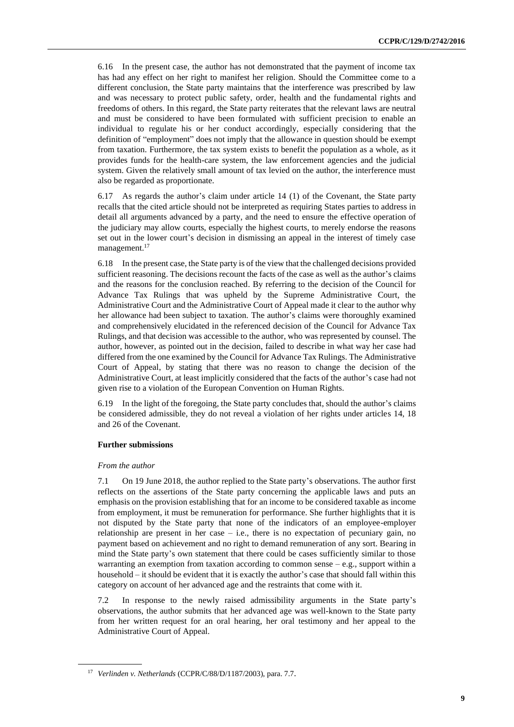6.16 In the present case, the author has not demonstrated that the payment of income tax has had any effect on her right to manifest her religion. Should the Committee come to a different conclusion, the State party maintains that the interference was prescribed by law and was necessary to protect public safety, order, health and the fundamental rights and freedoms of others. In this regard, the State party reiterates that the relevant laws are neutral and must be considered to have been formulated with sufficient precision to enable an individual to regulate his or her conduct accordingly, especially considering that the definition of "employment" does not imply that the allowance in question should be exempt from taxation. Furthermore, the tax system exists to benefit the population as a whole, as it provides funds for the health-care system, the law enforcement agencies and the judicial system. Given the relatively small amount of tax levied on the author, the interference must also be regarded as proportionate.

6.17 As regards the author's claim under article 14 (1) of the Covenant, the State party recalls that the cited article should not be interpreted as requiring States parties to address in detail all arguments advanced by a party, and the need to ensure the effective operation of the judiciary may allow courts, especially the highest courts, to merely endorse the reasons set out in the lower court's decision in dismissing an appeal in the interest of timely case management.<sup>17</sup>

6.18 In the present case, the State party is of the view that the challenged decisions provided sufficient reasoning. The decisions recount the facts of the case as well as the author's claims and the reasons for the conclusion reached. By referring to the decision of the Council for Advance Tax Rulings that was upheld by the Supreme Administrative Court, the Administrative Court and the Administrative Court of Appeal made it clear to the author why her allowance had been subject to taxation. The author's claims were thoroughly examined and comprehensively elucidated in the referenced decision of the Council for Advance Tax Rulings, and that decision was accessible to the author, who was represented by counsel. The author, however, as pointed out in the decision, failed to describe in what way her case had differed from the one examined by the Council for Advance Tax Rulings. The Administrative Court of Appeal, by stating that there was no reason to change the decision of the Administrative Court, at least implicitly considered that the facts of the author's case had not given rise to a violation of the European Convention on Human Rights.

6.19 In the light of the foregoing, the State party concludes that, should the author's claims be considered admissible, they do not reveal a violation of her rights under articles 14, 18 and 26 of the Covenant.

#### **Further submissions**

#### *From the author*

7.1 On 19 June 2018, the author replied to the State party's observations. The author first reflects on the assertions of the State party concerning the applicable laws and puts an emphasis on the provision establishing that for an income to be considered taxable as income from employment, it must be remuneration for performance. She further highlights that it is not disputed by the State party that none of the indicators of an employee-employer relationship are present in her case – i.e., there is no expectation of pecuniary gain, no payment based on achievement and no right to demand remuneration of any sort. Bearing in mind the State party's own statement that there could be cases sufficiently similar to those warranting an exemption from taxation according to common sense  $-e.g.,$  support within a household – it should be evident that it is exactly the author's case that should fall within this category on account of her advanced age and the restraints that come with it.

7.2 In response to the newly raised admissibility arguments in the State party's observations, the author submits that her advanced age was well-known to the State party from her written request for an oral hearing, her oral testimony and her appeal to the Administrative Court of Appeal.

<sup>17</sup> *Verlinden v. Netherlands* (CCPR/C/88/D/1187/2003), para. 7.7.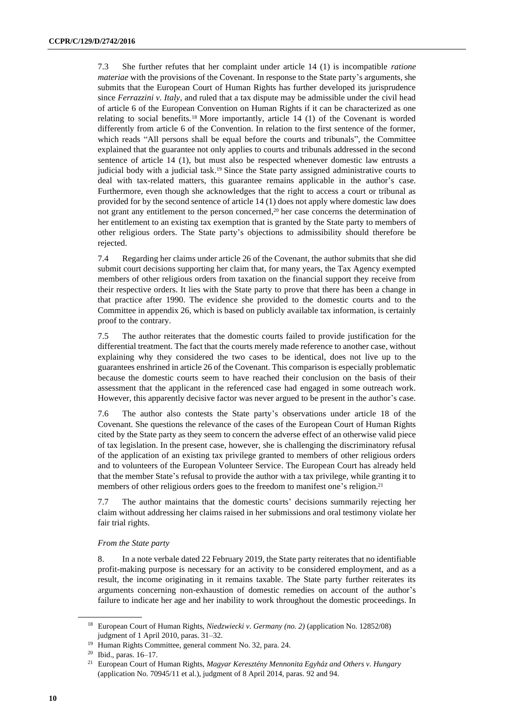7.3 She further refutes that her complaint under article 14 (1) is incompatible *ratione materiae* with the provisions of the Covenant. In response to the State party's arguments, she submits that the European Court of Human Rights has further developed its jurisprudence since *Ferrazzini v. Italy*, and ruled that a tax dispute may be admissible under the civil head of article 6 of the European Convention on Human Rights if it can be characterized as one relating to social benefits.<sup>18</sup> More importantly, article 14 (1) of the Covenant is worded differently from article 6 of the Convention. In relation to the first sentence of the former, which reads "All persons shall be equal before the courts and tribunals", the Committee explained that the guarantee not only applies to courts and tribunals addressed in the second sentence of article 14 (1), but must also be respected whenever domestic law entrusts a judicial body with a judicial task. <sup>19</sup> Since the State party assigned administrative courts to deal with tax-related matters, this guarantee remains applicable in the author's case. Furthermore, even though she acknowledges that the right to access a court or tribunal as provided for by the second sentence of article 14 (1) does not apply where domestic law does not grant any entitlement to the person concerned, <sup>20</sup> her case concerns the determination of her entitlement to an existing tax exemption that is granted by the State party to members of other religious orders. The State party's objections to admissibility should therefore be rejected.

7.4 Regarding her claims under article 26 of the Covenant, the author submits that she did submit court decisions supporting her claim that, for many years, the Tax Agency exempted members of other religious orders from taxation on the financial support they receive from their respective orders. It lies with the State party to prove that there has been a change in that practice after 1990. The evidence she provided to the domestic courts and to the Committee in appendix 26, which is based on publicly available tax information, is certainly proof to the contrary.

7.5 The author reiterates that the domestic courts failed to provide justification for the differential treatment. The fact that the courts merely made reference to another case, without explaining why they considered the two cases to be identical, does not live up to the guarantees enshrined in article 26 of the Covenant. This comparison is especially problematic because the domestic courts seem to have reached their conclusion on the basis of their assessment that the applicant in the referenced case had engaged in some outreach work. However, this apparently decisive factor was never argued to be present in the author's case.

7.6 The author also contests the State party's observations under article 18 of the Covenant. She questions the relevance of the cases of the European Court of Human Rights cited by the State party as they seem to concern the adverse effect of an otherwise valid piece of tax legislation. In the present case, however, she is challenging the discriminatory refusal of the application of an existing tax privilege granted to members of other religious orders and to volunteers of the European Volunteer Service. The European Court has already held that the member State's refusal to provide the author with a tax privilege, while granting it to members of other religious orders goes to the freedom to manifest one's religion.<sup>21</sup>

7.7 The author maintains that the domestic courts' decisions summarily rejecting her claim without addressing her claims raised in her submissions and oral testimony violate her fair trial rights.

#### *From the State party*

8. In a note verbale dated 22 February 2019, the State party reiterates that no identifiable profit-making purpose is necessary for an activity to be considered employment, and as a result, the income originating in it remains taxable. The State party further reiterates its arguments concerning non-exhaustion of domestic remedies on account of the author's failure to indicate her age and her inability to work throughout the domestic proceedings. In

<sup>18</sup> European Court of Human Rights, *Niedzwiecki v. Germany (no. 2)* (application No. 12852/08) judgment of 1 April 2010, paras. 31–32.

<sup>19</sup> Human Rights Committee, general comment No. 32, para. 24.

<sup>20</sup> Ibid., paras. 16–17.

<sup>21</sup> European Court of Human Rights, *Magyar Keresztény Mennonita Egyház and Others v. Hungary* (application No. 70945/11 et al.), judgment of 8 April 2014, paras. 92 and 94.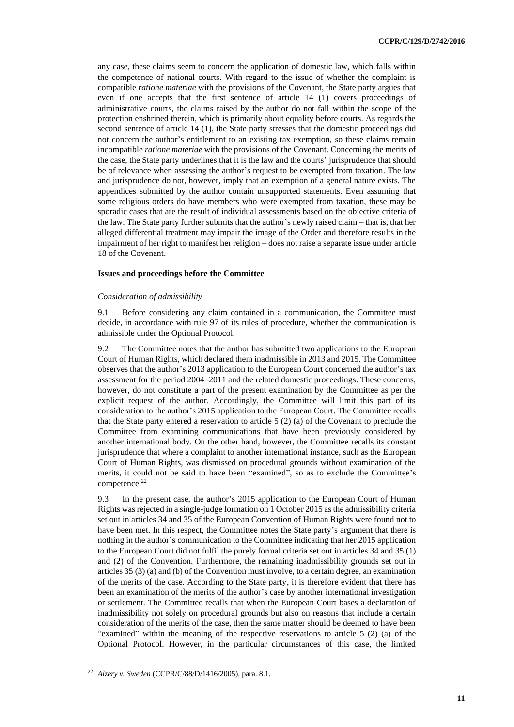any case, these claims seem to concern the application of domestic law, which falls within the competence of national courts. With regard to the issue of whether the complaint is compatible *ratione materiae* with the provisions of the Covenant, the State party argues that even if one accepts that the first sentence of article 14 (1) covers proceedings of administrative courts, the claims raised by the author do not fall within the scope of the protection enshrined therein, which is primarily about equality before courts. As regards the second sentence of article 14 (1), the State party stresses that the domestic proceedings did not concern the author's entitlement to an existing tax exemption, so these claims remain incompatible *ratione materiae* with the provisions of the Covenant. Concerning the merits of the case, the State party underlines that it is the law and the courts' jurisprudence that should be of relevance when assessing the author's request to be exempted from taxation. The law and jurisprudence do not, however, imply that an exemption of a general nature exists. The appendices submitted by the author contain unsupported statements. Even assuming that some religious orders do have members who were exempted from taxation, these may be sporadic cases that are the result of individual assessments based on the objective criteria of the law. The State party further submits that the author's newly raised claim – that is, that her alleged differential treatment may impair the image of the Order and therefore results in the impairment of her right to manifest her religion – does not raise a separate issue under article 18 of the Covenant.

#### **Issues and proceedings before the Committee**

#### *Consideration of admissibility*

9.1 Before considering any claim contained in a communication, the Committee must decide, in accordance with rule 97 of its rules of procedure, whether the communication is admissible under the Optional Protocol.

9.2 The Committee notes that the author has submitted two applications to the European Court of Human Rights, which declared them inadmissible in 2013 and 2015. The Committee observes that the author's 2013 application to the European Court concerned the author's tax assessment for the period 2004–2011 and the related domestic proceedings. These concerns, however, do not constitute a part of the present examination by the Committee as per the explicit request of the author. Accordingly, the Committee will limit this part of its consideration to the author's 2015 application to the European Court. The Committee recalls that the State party entered a reservation to article 5 (2) (a) of the Covenant to preclude the Committee from examining communications that have been previously considered by another international body. On the other hand, however, the Committee recalls its constant jurisprudence that where a complaint to another international instance, such as the European Court of Human Rights, was dismissed on procedural grounds without examination of the merits, it could not be said to have been "examined", so as to exclude the Committee's competence.<sup>22</sup>

9.3 In the present case, the author's 2015 application to the European Court of Human Rights was rejected in a single-judge formation on 1 October 2015 as the admissibility criteria set out in articles 34 and 35 of the European Convention of Human Rights were found not to have been met. In this respect, the Committee notes the State party's argument that there is nothing in the author's communication to the Committee indicating that her 2015 application to the European Court did not fulfil the purely formal criteria set out in articles 34 and 35 (1) and (2) of the Convention. Furthermore, the remaining inadmissibility grounds set out in articles 35 (3) (a) and (b) of the Convention must involve, to a certain degree, an examination of the merits of the case. According to the State party, it is therefore evident that there has been an examination of the merits of the author's case by another international investigation or settlement. The Committee recalls that when the European Court bases a declaration of inadmissibility not solely on procedural grounds but also on reasons that include a certain consideration of the merits of the case, then the same matter should be deemed to have been "examined" within the meaning of the respective reservations to article 5 (2) (a) of the Optional Protocol. However, in the particular circumstances of this case, the limited

<sup>22</sup> *Alzery v. Sweden* (CCPR/C/88/D/1416/2005), para. 8.1.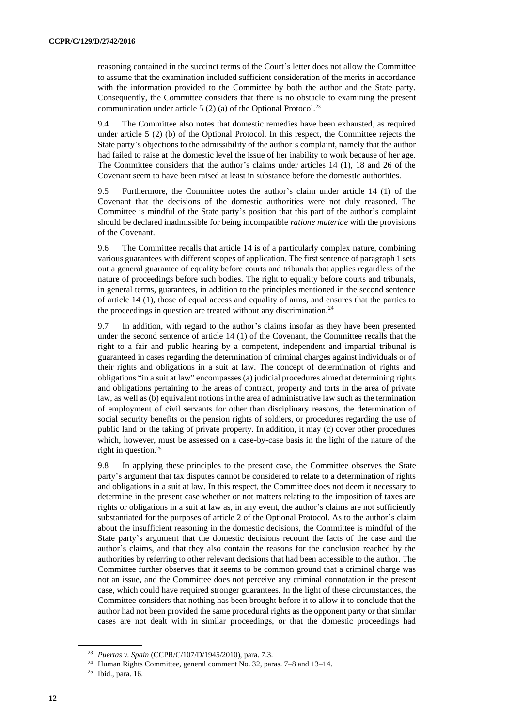reasoning contained in the succinct terms of the Court's letter does not allow the Committee to assume that the examination included sufficient consideration of the merits in accordance with the information provided to the Committee by both the author and the State party. Consequently, the Committee considers that there is no obstacle to examining the present communication under article 5  $(2)$  (a) of the Optional Protocol.<sup>23</sup>

9.4 The Committee also notes that domestic remedies have been exhausted, as required under article 5 (2) (b) of the Optional Protocol. In this respect, the Committee rejects the State party's objections to the admissibility of the author's complaint, namely that the author had failed to raise at the domestic level the issue of her inability to work because of her age. The Committee considers that the author's claims under articles 14 (1), 18 and 26 of the Covenant seem to have been raised at least in substance before the domestic authorities.

9.5 Furthermore, the Committee notes the author's claim under article 14 (1) of the Covenant that the decisions of the domestic authorities were not duly reasoned. The Committee is mindful of the State party's position that this part of the author's complaint should be declared inadmissible for being incompatible *ratione materiae* with the provisions of the Covenant.

9.6 The Committee recalls that article 14 is of a particularly complex nature, combining various guarantees with different scopes of application. The first sentence of paragraph 1 sets out a general guarantee of equality before courts and tribunals that applies regardless of the nature of proceedings before such bodies. The right to equality before courts and tribunals, in general terms, guarantees, in addition to the principles mentioned in the second sentence of article 14 (1), those of equal access and equality of arms, and ensures that the parties to the proceedings in question are treated without any discrimination. $24$ 

9.7 In addition, with regard to the author's claims insofar as they have been presented under the second sentence of article 14 (1) of the Covenant, the Committee recalls that the right to a fair and public hearing by a competent, independent and impartial tribunal is guaranteed in cases regarding the determination of criminal charges against individuals or of their rights and obligations in a suit at law. The concept of determination of rights and obligations "in a suit at law" encompasses (a) judicial procedures aimed at determining rights and obligations pertaining to the areas of contract, property and torts in the area of private law, as well as (b) equivalent notions in the area of administrative law such as the termination of employment of civil servants for other than disciplinary reasons, the determination of social security benefits or the pension rights of soldiers, or procedures regarding the use of public land or the taking of private property. In addition, it may (c) cover other procedures which, however, must be assessed on a case-by-case basis in the light of the nature of the right in question.<sup>25</sup>

9.8 In applying these principles to the present case, the Committee observes the State party's argument that tax disputes cannot be considered to relate to a determination of rights and obligations in a suit at law. In this respect, the Committee does not deem it necessary to determine in the present case whether or not matters relating to the imposition of taxes are rights or obligations in a suit at law as, in any event, the author's claims are not sufficiently substantiated for the purposes of article 2 of the Optional Protocol. As to the author's claim about the insufficient reasoning in the domestic decisions, the Committee is mindful of the State party's argument that the domestic decisions recount the facts of the case and the author's claims, and that they also contain the reasons for the conclusion reached by the authorities by referring to other relevant decisions that had been accessible to the author. The Committee further observes that it seems to be common ground that a criminal charge was not an issue, and the Committee does not perceive any criminal connotation in the present case, which could have required stronger guarantees. In the light of these circumstances, the Committee considers that nothing has been brought before it to allow it to conclude that the author had not been provided the same procedural rights as the opponent party or that similar cases are not dealt with in similar proceedings, or that the domestic proceedings had

<sup>23</sup> *Puertas v. Spain* (CCPR/C/107/D/1945/2010), para. 7.3.

<sup>24</sup> Human Rights Committee, general comment No. 32, paras. 7–8 and 13–14.

<sup>25</sup> Ibid., para. 16.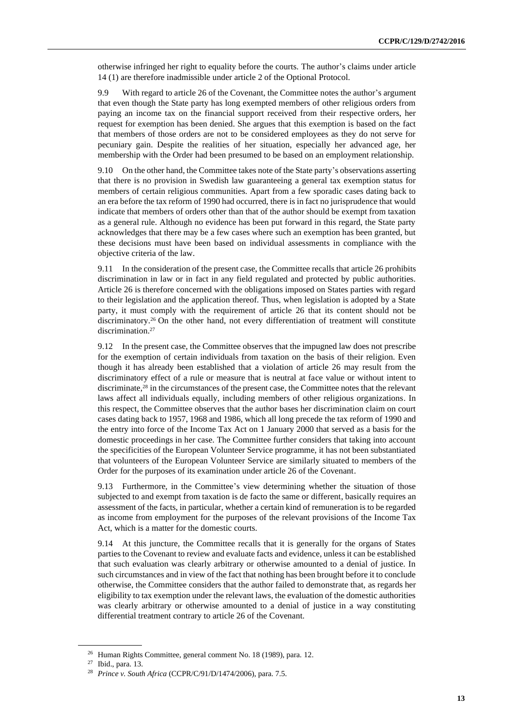otherwise infringed her right to equality before the courts. The author's claims under article 14 (1) are therefore inadmissible under article 2 of the Optional Protocol.

9.9 With regard to article 26 of the Covenant, the Committee notes the author's argument that even though the State party has long exempted members of other religious orders from paying an income tax on the financial support received from their respective orders, her request for exemption has been denied. She argues that this exemption is based on the fact that members of those orders are not to be considered employees as they do not serve for pecuniary gain. Despite the realities of her situation, especially her advanced age, her membership with the Order had been presumed to be based on an employment relationship.

9.10 On the other hand, the Committee takes note of the State party's observations asserting that there is no provision in Swedish law guaranteeing a general tax exemption status for members of certain religious communities. Apart from a few sporadic cases dating back to an era before the tax reform of 1990 had occurred, there is in fact no jurisprudence that would indicate that members of orders other than that of the author should be exempt from taxation as a general rule. Although no evidence has been put forward in this regard, the State party acknowledges that there may be a few cases where such an exemption has been granted, but these decisions must have been based on individual assessments in compliance with the objective criteria of the law.

9.11 In the consideration of the present case, the Committee recalls that article 26 prohibits discrimination in law or in fact in any field regulated and protected by public authorities. Article 26 is therefore concerned with the obligations imposed on States parties with regard to their legislation and the application thereof. Thus, when legislation is adopted by a State party, it must comply with the requirement of article 26 that its content should not be discriminatory.<sup>26</sup> On the other hand, not every differentiation of treatment will constitute discrimination.<sup>27</sup>

9.12 In the present case, the Committee observes that the impugned law does not prescribe for the exemption of certain individuals from taxation on the basis of their religion. Even though it has already been established that a violation of article 26 may result from the discriminatory effect of a rule or measure that is neutral at face value or without intent to discriminate,<sup>28</sup> in the circumstances of the present case, the Committee notes that the relevant laws affect all individuals equally, including members of other religious organizations. In this respect, the Committee observes that the author bases her discrimination claim on court cases dating back to 1957, 1968 and 1986, which all long precede the tax reform of 1990 and the entry into force of the Income Tax Act on 1 January 2000 that served as a basis for the domestic proceedings in her case. The Committee further considers that taking into account the specificities of the European Volunteer Service programme, it has not been substantiated that volunteers of the European Volunteer Service are similarly situated to members of the Order for the purposes of its examination under article 26 of the Covenant.

9.13 Furthermore, in the Committee's view determining whether the situation of those subjected to and exempt from taxation is de facto the same or different, basically requires an assessment of the facts, in particular, whether a certain kind of remuneration is to be regarded as income from employment for the purposes of the relevant provisions of the Income Tax Act, which is a matter for the domestic courts.

9.14 At this juncture, the Committee recalls that it is generally for the organs of States parties to the Covenant to review and evaluate facts and evidence, unless it can be established that such evaluation was clearly arbitrary or otherwise amounted to a denial of justice. In such circumstances and in view of the fact that nothing has been brought before it to conclude otherwise, the Committee considers that the author failed to demonstrate that, as regards her eligibility to tax exemption under the relevant laws, the evaluation of the domestic authorities was clearly arbitrary or otherwise amounted to a denial of justice in a way constituting differential treatment contrary to article 26 of the Covenant.

<sup>26</sup> Human Rights Committee, general comment No. 18 (1989), para. 12.

<sup>27</sup> Ibid., para. 13.

<sup>28</sup> *Prince v. South Africa* (CCPR/C/91/D/1474/2006), para. 7.5.